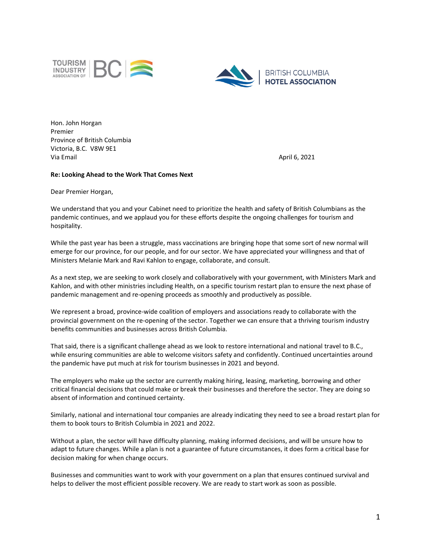



Hon. John Horgan Premier Province of British Columbia Victoria, B.C. V8W 9E1 Via Email April 6, 2021

## **Re: Looking Ahead to the Work That Comes Next**

Dear Premier Horgan,

We understand that you and your Cabinet need to prioritize the health and safety of British Columbians as the pandemic continues, and we applaud you for these efforts despite the ongoing challenges for tourism and hospitality.

While the past year has been a struggle, mass vaccinations are bringing hope that some sort of new normal will emerge for our province, for our people, and for our sector. We have appreciated your willingness and that of Ministers Melanie Mark and Ravi Kahlon to engage, collaborate, and consult.

As a next step, we are seeking to work closely and collaboratively with your government, with Ministers Mark and Kahlon, and with other ministries including Health, on a specific tourism restart plan to ensure the next phase of pandemic management and re-opening proceeds as smoothly and productively as possible.

We represent a broad, province-wide coalition of employers and associations ready to collaborate with the provincial government on the re-opening of the sector. Together we can ensure that a thriving tourism industry benefits communities and businesses across British Columbia.

That said, there is a significant challenge ahead as we look to restore international and national travel to B.C., while ensuring communities are able to welcome visitors safety and confidently. Continued uncertainties around the pandemic have put much at risk for tourism businesses in 2021 and beyond.

The employers who make up the sector are currently making hiring, leasing, marketing, borrowing and other critical financial decisions that could make or break their businesses and therefore the sector. They are doing so absent of information and continued certainty.

Similarly, national and international tour companies are already indicating they need to see a broad restart plan for them to book tours to British Columbia in 2021 and 2022.

Without a plan, the sector will have difficulty planning, making informed decisions, and will be unsure how to adapt to future changes. While a plan is not a guarantee of future circumstances, it does form a critical base for decision making for when change occurs.

Businesses and communities want to work with your government on a plan that ensures continued survival and helps to deliver the most efficient possible recovery. We are ready to start work as soon as possible.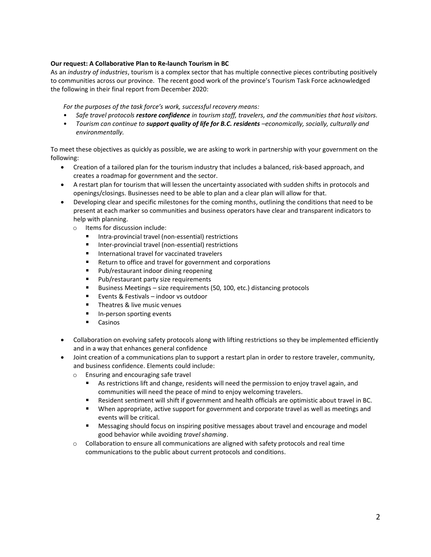## **Our request: A Collaborative Plan to Re-launch Tourism in BC**

As an *industry of industries*, tourism is a complex sector that has multiple connective pieces contributing positively to communities across our province. The recent good work of the province's Tourism Task Force acknowledged the following in their final report from December 2020:

*For the purposes of the task force's work, successful recovery means:* 

- *Safe travel protocols restore confidence in tourism staff, travelers, and the communities that host visitors.*
- *Tourism can continue to support quality of life for B.C. residents –economically, socially, culturally and environmentally.*

To meet these objectives as quickly as possible, we are asking to work in partnership with your government on the following:

- Creation of a tailored plan for the tourism industry that includes a balanced, risk-based approach, and creates a roadmap for government and the sector.
- A restart plan for tourism that will lessen the uncertainty associated with sudden shifts in protocols and openings/closings. Businesses need to be able to plan and a clear plan will allow for that.
- Developing clear and specific milestones for the coming months, outlining the conditions that need to be present at each marker so communities and business operators have clear and transparent indicators to help with planning.
	- o Items for discussion include:
		- Intra-provincial travel (non-essential) restrictions
		- $\blacksquare$ Inter-provincial travel (non-essential) restrictions
		- $\blacksquare$ International travel for vaccinated travelers
		- Return to office and travel for government and corporations
		- $\blacksquare$ Pub/restaurant indoor dining reopening
		- $\blacksquare$ Pub/restaurant party size requirements
		- Business Meetings size requirements (50, 100, etc.) distancing protocols  $\blacksquare$
		- Events & Festivals indoor vs outdoor  $\blacksquare$
		- $\blacksquare$ Theatres & live music venues
		- $\blacksquare$ In-person sporting events
		- $\blacksquare$ Casinos
- Collaboration on evolving safety protocols along with lifting restrictions so they be implemented efficiently and in a way that enhances general confidence
- Joint creation of a communications plan to support a restart plan in order to restore traveler, community, and business confidence. Elements could include:
	- o Ensuring and encouraging safe travel
		- As restrictions lift and change, residents will need the permission to enjoy travel again, and communities will need the peace of mind to enjoy welcoming travelers.
		- $\blacksquare$ Resident sentiment will shift if government and health officials are optimistic about travel in BC.
		- When appropriate, active support for government and corporate travel as well as meetings and events will be critical.
		- Messaging should focus on inspiring positive messages about travel and encourage and model good behavior while avoiding *travel shaming*.
	- $\circ$  Collaboration to ensure all communications are aligned with safety protocols and real time communications to the public about current protocols and conditions.